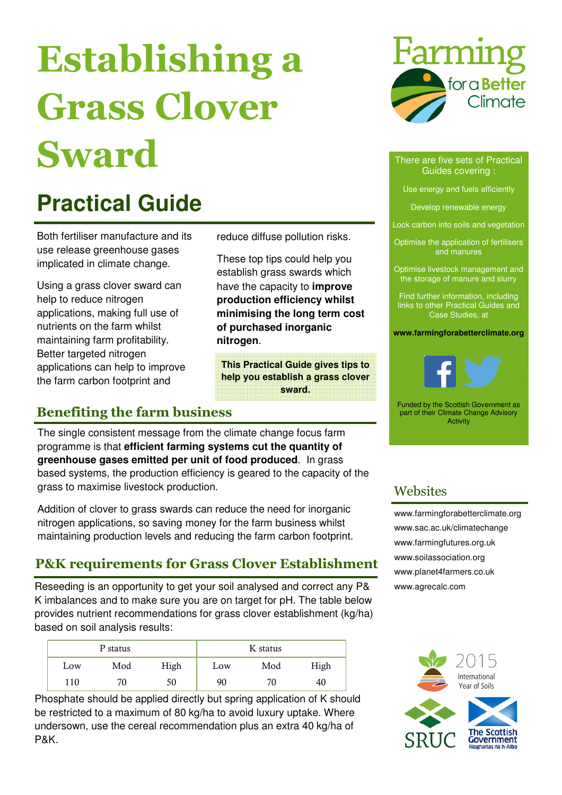# Establishing a Grass Clover Sward

# **Practical Guide**

Both fertiliser manufacture and its use release greenhouse gases implicated in climate change.

Using a grass clover sward can help to reduce nitrogen applications, making full use of nutrients on the farm whilst maintaining farm profitability. Better targeted nitrogen applications can help to improve the farm carbon footprint and

reduce diffuse pollution risks.

These top tips could help you establish grass swards which have the capacity to **improve production efficiency whilst minimising the long term cost of purchased inorganic nitrogen**.

**This Practical Guide gives tips to help you establish a grass clover sward.** 

## Benefiting the farm business

The single consistent message from the climate change focus farm programme is that **efficient farming systems cut the quantity of greenhouse gases emitted per unit of food produced**. In grass based systems, the production efficiency is geared to the capacity of the grass to maximise livestock production.

Addition of clover to grass swards can reduce the need for inorganic nitrogen applications, so saving money for the farm business whilst maintaining production levels and reducing the farm carbon footprint.

## P&K requirements for Grass Clover Establishment

Reseeding is an opportunity to get your soil analysed and correct any P& K imbalances and to make sure you are on target for pH. The table below provides nutrient recommendations for grass clover establishment (kg/ha) based on soil analysis results:

| P status |     |      | K status |     |      |
|----------|-----|------|----------|-----|------|
| Low      | Mod | High | Low      | Mod | High |
| 110      | 70  | 50   | 90       | 70  | 40   |

Phosphate should be applied directly but spring application of K should be restricted to a maximum of 80 kg/ha to avoid luxury uptake. Where undersown, use the cereal recommendation plus an extra 40 kg/ha of P&K.



#### There are five sets of Practical Guides covering :

Use energy and fuels efficiently

Develop renewable energy

Lock carbon into soils and vegetation

Optimise the application of fertilisers and manures

Optimise livestock management and the storage of manure and slurry

Find further information, including links to other Practical Guides and Case Studies, at

**www.farmingforabetterclimate.org** 



Funded by the Scottish Government as part of their Climate Change Advisory Activity

### **Websites**

www.farmingforabetterclimate.org www.sac.ac.uk/climatechange www.farmingfutures.org.uk www.soilassociation.org www.planet4farmers.co.uk www.agrecalc.com